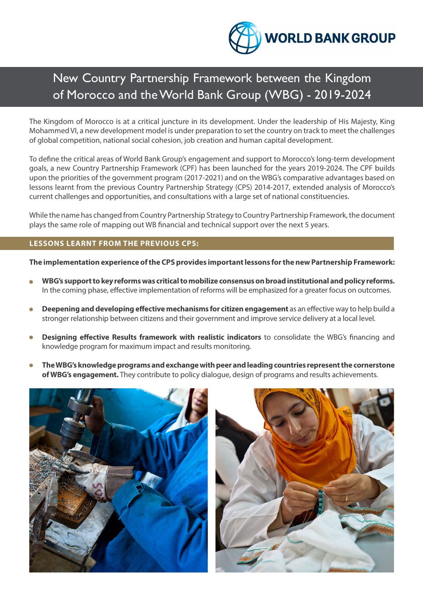

# New Country Partnership Framework between the Kingdom of Morocco and the World Bank Group (WBG) - 2019-2024

The Kingdom of Morocco is at a critical juncture in its development. Under the leadership of His Majesty, King Mohammed VI, a new development model is under preparation to set the country on track to meet the challenges of global competition, national social cohesion, job creation and human capital development.

To define the critical areas of World Bank Group's engagement and support to Morocco's long-term development goals, a new Country Partnership Framework (CPF) has been launched for the years 2019-2024. The CPF builds upon the priorities of the government program (2017-2021) and on the WBG's comparative advantages based on lessons learnt from the previous Country Partnership Strategy (CPS) 2014-2017, extended analysis of Morocco's current challenges and opportunities, and consultations with a large set of national constituencies.

While the name has changed from Country Partnership Strategy to Country Partnership Framework, the document plays the same role of mapping out WB financial and technical support over the next 5 years.

### **LESSONS LEARNT FROM THE PREVIOUS CPS:**

**The implementation experience of the CPS provides important lessons for the new Partnership Framework:** 

- **WBG's support to key reforms was critical to mobilize consensus on broad institutional and policy reforms.** In the coming phase, effective implementation of reforms will be emphasized for a greater focus on outcomes.
- **Deepening and developing effective mechanisms for citizen engagement** as an effective way to help build a stronger relationship between citizens and their government and improve service delivery at a local level.
- **Designing effective Results framework with realistic indicators** to consolidate the WBG's financing and knowledge program for maximum impact and results monitoring.
- **The WBG's knowledge programs and exchange with peer and leading countries represent the cornerstone of WBG's engagement.** They contribute to policy dialogue, design of programs and results achievements.